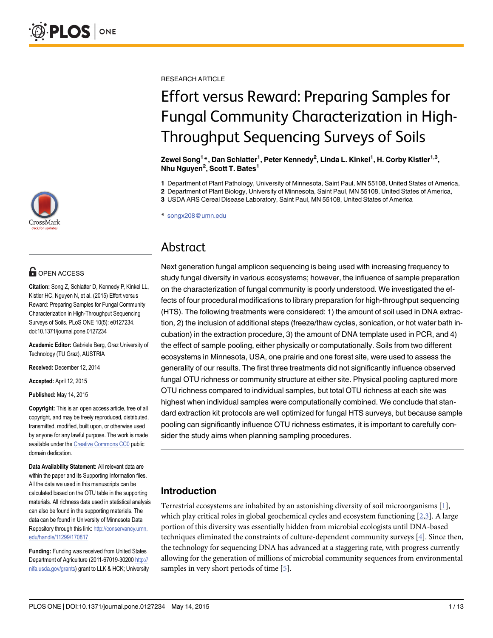

# **G** OPEN ACCESS

Citation: Song Z, Schlatter D, Kennedy P, Kinkel LL, Kistler HC, Nguyen N, et al. (2015) Effort versus Reward: Preparing Samples for Fungal Community Characterization in High-Throughput Sequencing Surveys of Soils. PLoS ONE 10(5): e0127234. doi:10.1371/journal.pone.0127234

Academic Editor: Gabriele Berg, Graz University of Technology (TU Graz), AUSTRIA

Received: December 12, 2014

Accepted: April 12, 2015

Published: May 14, 2015

Copyright: This is an open access article, free of all copyright, and may be freely reproduced, distributed, transmitted, modified, built upon, or otherwise used by anyone for any lawful purpose. The work is made available under the [Creative Commons CC0](https://creativecommons.org/publicdomain/zero/1.0/) public domain dedication.

Data Availability Statement: All relevant data are within the paper and its Supporting Information files. All the data we used in this manuscripts can be calculated based on the OTU table in the supporting materials. All richness data used in statistical analysis can also be found in the supporting materials. The data can be found in University of Minnesota Data Repository through this link: [http://conservancy.umn.](http://conservancy.umn.edu/handle/11299/170817) [edu/handle/11299/170817](http://conservancy.umn.edu/handle/11299/170817)

Funding: Funding was received from United States Department of Agriculture (2011-67019-30200 [http://](http://nifa.usda.gov/grants) [nifa.usda.gov/grants](http://nifa.usda.gov/grants)) grant to LLK & HCK; University <span id="page-0-0"></span>RESEARCH ARTICLE

# Effort versus Reward: Preparing Samples for Fungal Community Characterization in High-Throughput Sequencing Surveys of Soils

Zewei Song<sup>1</sup>\*, Dan Schlatter<sup>1</sup>, Peter Kennedy<sup>2</sup>, Linda L. Kinkel<sup>1</sup>, H. Corby Kistler<sup>1,3</sup>, Nhu Nguyen<sup>2</sup>, Scott T. Bates<sup>1</sup>

1 Department of Plant Pathology, University of Minnesota, Saint Paul, MN 55108, United States of America,

2 Department of Plant Biology, University of Minnesota, Saint Paul, MN 55108, United States of America,

3 USDA ARS Cereal Disease Laboratory, Saint Paul, MN 55108, United States of America

\* songx208@umn.edu

# Abstract

Next generation fungal amplicon sequencing is being used with increasing frequency to study fungal diversity in various ecosystems; however, the influence of sample preparation on the characterization of fungal community is poorly understood. We investigated the effects of four procedural modifications to library preparation for high-throughput sequencing (HTS). The following treatments were considered: 1) the amount of soil used in DNA extraction, 2) the inclusion of additional steps (freeze/thaw cycles, sonication, or hot water bath incubation) in the extraction procedure, 3) the amount of DNA template used in PCR, and 4) the effect of sample pooling, either physically or computationally. Soils from two different ecosystems in Minnesota, USA, one prairie and one forest site, were used to assess the generality of our results. The first three treatments did not significantly influence observed fungal OTU richness or community structure at either site. Physical pooling captured more OTU richness compared to individual samples, but total OTU richness at each site was highest when individual samples were computationally combined. We conclude that standard extraction kit protocols are well optimized for fungal HTS surveys, but because sample pooling can significantly influence OTU richness estimates, it is important to carefully consider the study aims when planning sampling procedures.

## Introduction

Terrestrial ecosystems are inhabited by an astonishing diversity of soil microorganisms [[1\]](#page-10-0), which play critical roles in global geochemical cycles and ecosystem functioning  $[2,3]$ . A large portion of this diversity was essentially hidden from microbial ecologists until DNA-based techniques eliminated the constraints of culture-dependent community surveys [[4\]](#page-10-0). Since then, the technology for sequencing DNA has advanced at a staggering rate, with progress currently allowing for the generation of millions of microbial community sequences from environmental samples in very short periods of time [[5](#page-10-0)].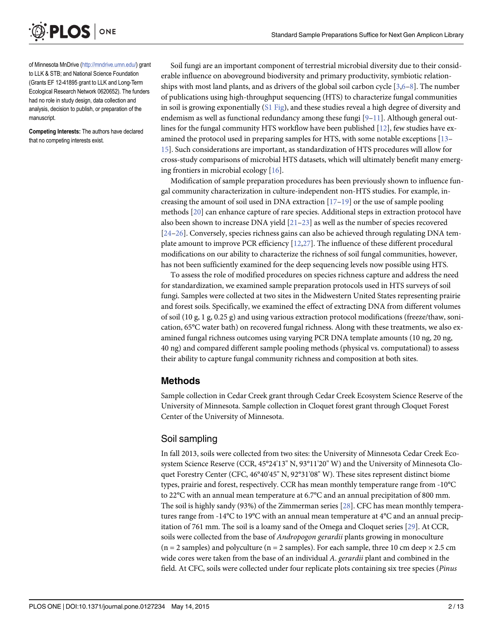<span id="page-1-0"></span>

of Minnesota MnDrive [\(http://mndrive.umn.edu/\)](http://mndrive.umn.edu/) grant to LLK & STB; and National Science Foundation (Grants EF 12-41895 grant to LLK and Long-Term Ecological Research Network 0620652). The funders had no role in study design, data collection and analysis, decision to publish, or preparation of the manuscript.

Competing Interests: The authors have declared that no competing interests exist.

Soil fungi are an important component of terrestrial microbial diversity due to their considerable influence on aboveground biodiversity and primary productivity, symbiotic relationships with most land plants, and as drivers of the global soil carbon cycle  $[3,6-8]$  $[3,6-8]$  $[3,6-8]$ . The number of publications using high-throughput sequencing (HTS) to characterize fungal communities in soil is growing exponentially ([S1 Fig\)](#page-9-0), and these studies reveal a high degree of diversity and endemism as well as functional redundancy among these fungi  $[9-11]$  $[9-11]$  $[9-11]$ . Although general outlines for the fungal community HTS workflow have been published  $[12]$ , few studies have examined the protocol used in preparing samples for HTS, with some notable exceptions [\[13](#page-11-0)– [15\]](#page-11-0). Such considerations are important, as standardization of HTS procedures will allow for cross-study comparisons of microbial HTS datasets, which will ultimately benefit many emerging frontiers in microbial ecology [\[16\]](#page-11-0).

Modification of sample preparation procedures has been previously shown to influence fungal community characterization in culture-independent non-HTS studies. For example, increasing the amount of soil used in DNA extraction  $[17-19]$  $[17-19]$  $[17-19]$  or the use of sample pooling methods [\[20\]](#page-11-0) can enhance capture of rare species. Additional steps in extraction protocol have also been shown to increase DNA yield  $[21-23]$  $[21-23]$  $[21-23]$  $[21-23]$  as well as the number of species recovered [\[24](#page-11-0)–[26\]](#page-11-0). Conversely, species richness gains can also be achieved through regulating DNA template amount to improve PCR efficiency [[12](#page-10-0)[,27\]](#page-11-0). The influence of these different procedural modifications on our ability to characterize the richness of soil fungal communities, however, has not been sufficiently examined for the deep sequencing levels now possible using HTS.

To assess the role of modified procedures on species richness capture and address the need for standardization, we examined sample preparation protocols used in HTS surveys of soil fungi. Samples were collected at two sites in the Midwestern United States representing prairie and forest soils. Specifically, we examined the effect of extracting DNA from different volumes of soil (10 g, 1 g, 0.25 g) and using various extraction protocol modifications (freeze/thaw, sonication, 65°C water bath) on recovered fungal richness. Along with these treatments, we also examined fungal richness outcomes using varying PCR DNA template amounts (10 ng, 20 ng, 40 ng) and compared different sample pooling methods (physical vs. computational) to assess their ability to capture fungal community richness and composition at both sites.

#### Methods

Sample collection in Cedar Creek grant through Cedar Creek Ecosystem Science Reserve of the University of Minnesota. Sample collection in Cloquet forest grant through Cloquet Forest Center of the University of Minnesota.

#### Soil sampling

In fall 2013, soils were collected from two sites: the University of Minnesota Cedar Creek Ecosystem Science Reserve (CCR, 45°24'13" N, 93°11'20" W) and the University of Minnesota Cloquet Forestry Center (CFC, 46°40'45" N, 92°31'08" W). These sites represent distinct biome types, prairie and forest, respectively. CCR has mean monthly temperature range from -10°C to 22°C with an annual mean temperature at 6.7°C and an annual precipitation of 800 mm. The soil is highly sandy (93%) of the Zimmerman series [[28](#page-11-0)]. CFC has mean monthly temperatures range from -14°C to 19°C with an annual mean temperature at 4°C and an annual precipitation of 761 mm. The soil is a loamy sand of the Omega and Cloquet series [\[29\]](#page-11-0). At CCR, soils were collected from the base of *Andropogon gerardii* plants growing in monoculture  $(n = 2 \text{ samples})$  and polyculture  $(n = 2 \text{ samples})$ . For each sample, three 10 cm deep  $\times 2.5$  cm wide cores were taken from the base of an individual A. *gerardii* plant and combined in the field. At CFC, soils were collected under four replicate plots containing six tree species (Pinus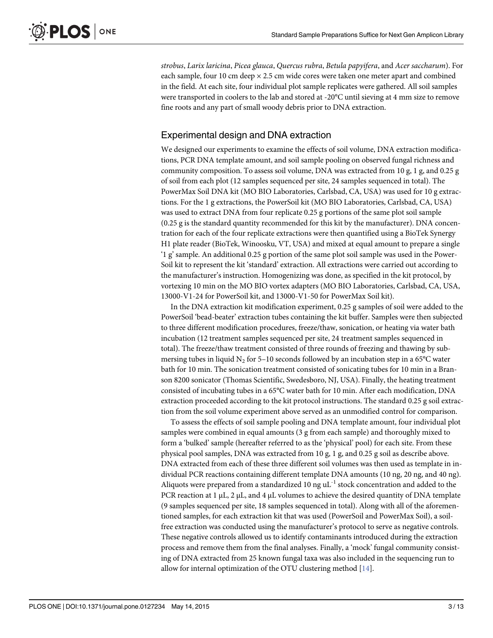<span id="page-2-0"></span>strobus, Larix laricina, Picea glauca, Quercus rubra, Betula papyifera, and Acer saccharum). For each sample, four 10 cm deep  $\times$  2.5 cm wide cores were taken one meter apart and combined in the field. At each site, four individual plot sample replicates were gathered. All soil samples were transported in coolers to the lab and stored at -20°C until sieving at 4 mm size to remove fine roots and any part of small woody debris prior to DNA extraction.

## Experimental design and DNA extraction

We designed our experiments to examine the effects of soil volume, DNA extraction modifications, PCR DNA template amount, and soil sample pooling on observed fungal richness and community composition. To assess soil volume, DNA was extracted from 10 g, 1 g, and 0.25 g of soil from each plot (12 samples sequenced per site, 24 samples sequenced in total). The PowerMax Soil DNA kit (MO BIO Laboratories, Carlsbad, CA, USA) was used for 10 g extractions. For the 1 g extractions, the PowerSoil kit (MO BIO Laboratories, Carlsbad, CA, USA) was used to extract DNA from four replicate 0.25 g portions of the same plot soil sample (0.25 g is the standard quantity recommended for this kit by the manufacturer). DNA concentration for each of the four replicate extractions were then quantified using a BioTek Synergy H1 plate reader (BioTek, Winoosku, VT, USA) and mixed at equal amount to prepare a single '1 g' sample. An additional 0.25 g portion of the same plot soil sample was used in the Power-Soil kit to represent the kit 'standard' extraction. All extractions were carried out according to the manufacturer's instruction. Homogenizing was done, as specified in the kit protocol, by vortexing 10 min on the MO BIO vortex adapters (MO BIO Laboratories, Carlsbad, CA, USA, 13000-V1-24 for PowerSoil kit, and 13000-V1-50 for PowerMax Soil kit).

In the DNA extraction kit modification experiment, 0.25 g samples of soil were added to the PowerSoil 'bead-beater' extraction tubes containing the kit buffer. Samples were then subjected to three different modification procedures, freeze/thaw, sonication, or heating via water bath incubation (12 treatment samples sequenced per site, 24 treatment samples sequenced in total). The freeze/thaw treatment consisted of three rounds of freezing and thawing by submersing tubes in liquid N<sub>2</sub> for 5–10 seconds followed by an incubation step in a 65 $\degree$ C water bath for 10 min. The sonication treatment consisted of sonicating tubes for 10 min in a Branson 8200 sonicator (Thomas Scientific, Swedesboro, NJ, USA). Finally, the heating treatment consisted of incubating tubes in a 65°C water bath for 10 min. After each modification, DNA extraction proceeded according to the kit protocol instructions. The standard 0.25 g soil extraction from the soil volume experiment above served as an unmodified control for comparison.

To assess the effects of soil sample pooling and DNA template amount, four individual plot samples were combined in equal amounts (3 g from each sample) and thoroughly mixed to form a 'bulked' sample (hereafter referred to as the 'physical' pool) for each site. From these physical pool samples, DNA was extracted from 10 g, 1 g, and 0.25 g soil as describe above. DNA extracted from each of these three different soil volumes was then used as template in individual PCR reactions containing different template DNA amounts (10 ng, 20 ng, and 40 ng). Aliquots were prepared from a standardized 10 ng  $uL^{-1}$  stock concentration and added to the PCR reaction at 1  $\mu$ L, 2  $\mu$ L, and 4  $\mu$ L volumes to achieve the desired quantity of DNA template (9 samples sequenced per site, 18 samples sequenced in total). Along with all of the aforementioned samples, for each extraction kit that was used (PowerSoil and PowerMax Soil), a soilfree extraction was conducted using the manufacturer's protocol to serve as negative controls. These negative controls allowed us to identify contaminants introduced during the extraction process and remove them from the final analyses. Finally, a 'mock' fungal community consisting of DNA extracted from 25 known fungal taxa was also included in the sequencing run to allow for internal optimization of the OTU clustering method  $[14]$  $[14]$  $[14]$ .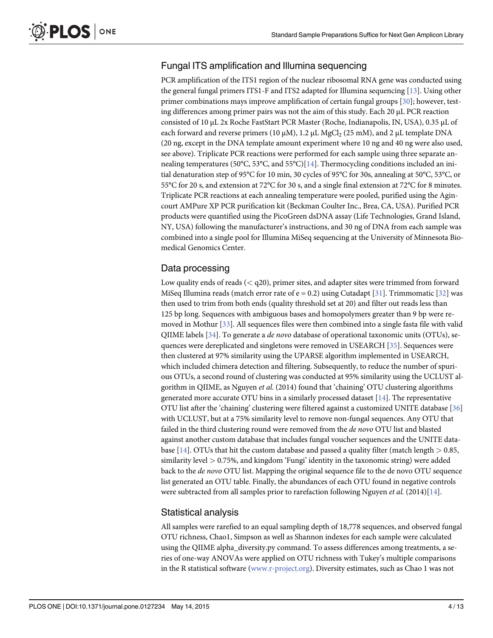## <span id="page-3-0"></span>Fungal ITS amplification and Illumina sequencing

PCR amplification of the ITS1 region of the nuclear ribosomal RNA gene was conducted using the general fungal primers ITS1-F and ITS2 adapted for Illumina sequencing [[13](#page-11-0)]. Using other primer combinations mays improve amplification of certain fungal groups [[30](#page-11-0)]; however, testing differences among primer pairs was not the aim of this study. Each 20 μL PCR reaction consisted of 10 μL 2x Roche FastStart PCR Master (Roche, Indianapolis, IN, USA), 0.35 μL of each forward and reverse primers (10  $\mu$ M), 1.2  $\mu$ L MgCl<sub>2</sub> (25 mM), and 2  $\mu$ L template DNA (20 ng, except in the DNA template amount experiment where 10 ng and 40 ng were also used, see above). Triplicate PCR reactions were performed for each sample using three separate an-nealing temperatures (50°C, 53°C, and 55°C)[[14](#page-11-0)]. Thermocycling conditions included an initial denaturation step of 95°C for 10 min, 30 cycles of 95°C for 30s, annealing at 50°C, 53°C, or 55°C for 20 s, and extension at 72°C for 30 s, and a single final extension at 72°C for 8 minutes. Triplicate PCR reactions at each annealing temperature were pooled, purified using the Agincourt AMPure XP PCR purification kit (Beckman Coulter Inc., Brea, CA, USA). Purified PCR products were quantified using the PicoGreen dsDNA assay (Life Technologies, Grand Island, NY, USA) following the manufacturer's instructions, and 30 ng of DNA from each sample was combined into a single pool for Illumina MiSeq sequencing at the University of Minnesota Biomedical Genomics Center.

## Data processing

Low quality ends of reads  $( $q20$ ), primer sites, and adapter sites were trimmed from forward$ MiSeq Illumina reads (match error rate of  $e = 0.2$ ) using Cutadapt [[31](#page-11-0)]. Trimmomatic [[32](#page-11-0)] was then used to trim from both ends (quality threshold set at 20) and filter out reads less than 125 bp long. Sequences with ambiguous bases and homopolymers greater than 9 bp were removed in Mothur [\[33\]](#page-11-0). All sequences files were then combined into a single fasta file with valid QIIME labels [[34](#page-12-0)]. To generate a de novo database of operational taxonomic units (OTUs), sequences were dereplicated and singletons were removed in USEARCH [\[35\]](#page-12-0). Sequences were then clustered at 97% similarity using the UPARSE algorithm implemented in USEARCH, which included chimera detection and filtering. Subsequently, to reduce the number of spurious OTUs, a second round of clustering was conducted at 95% similarity using the UCLUST algorithm in QIIME, as Nguyen et al. (2014) found that 'chaining' OTU clustering algorithms generated more accurate OTU bins in a similarly processed dataset  $[14]$  $[14]$  $[14]$ . The representative OTU list after the 'chaining' clustering were filtered against a customized UNITE database [\[36\]](#page-12-0) with UCLUST, but at a 75% similarity level to remove non-fungal sequences. Any OTU that failed in the third clustering round were removed from the de novo OTU list and blasted against another custom database that includes fungal voucher sequences and the UNITE data-base [[14](#page-11-0)]. OTUs that hit the custom database and passed a quality filter (match length  $> 0.85$ , similarity level > 0.75%, and kingdom 'Fungi' identity in the taxonomic string) were added back to the de novo OTU list. Mapping the original sequence file to the de novo OTU sequence list generated an OTU table. Finally, the abundances of each OTU found in negative controls were subtracted from all samples prior to rarefaction following Nguyen et al. (20[14](#page-11-0))[14].

## Statistical analysis

All samples were rarefied to an equal sampling depth of 18,778 sequences, and observed fungal OTU richness, Chao1, Simpson as well as Shannon indexes for each sample were calculated using the QIIME alpha\_diversity.py command. To assess differences among treatments, a series of one-way ANOVAs were applied on OTU richness with Tukey's multiple comparisons in the R statistical software ([www.r-project.org\)](http://www.r-project.org). Diversity estimates, such as Chao 1 was not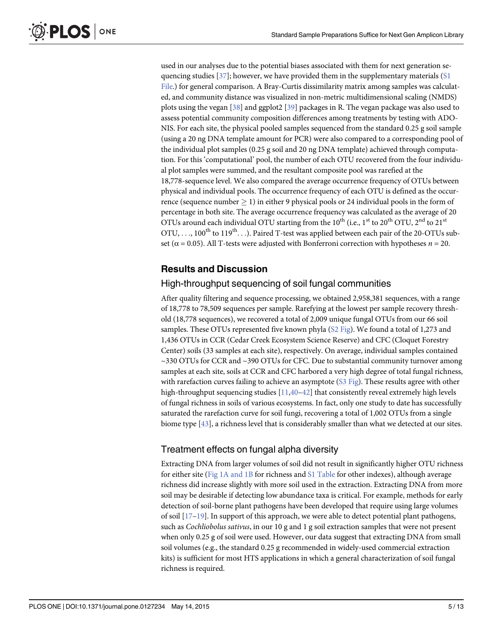<span id="page-4-0"></span>used in our analyses due to the potential biases associated with them for next generation sequencing studies  $[37]$ ; however, we have provided them in the supplementary materials  $[$1]$ [File](#page-10-0).) for general comparison. A Bray-Curtis dissimilarity matrix among samples was calculated, and community distance was visualized in non-metric multidimensional scaling (NMDS) plots using the vegan [[38](#page-12-0)] and ggplot2 [[39](#page-12-0)] packages in R. The vegan package was also used to assess potential community composition differences among treatments by testing with ADO-NIS. For each site, the physical pooled samples sequenced from the standard 0.25 g soil sample (using a 20 ng DNA template amount for PCR) were also compared to a corresponding pool of the individual plot samples (0.25 g soil and 20 ng DNA template) achieved through computation. For this 'computational' pool, the number of each OTU recovered from the four individual plot samples were summed, and the resultant composite pool was rarefied at the 18,778-sequence level. We also compared the average occurrence frequency of OTUs between physical and individual pools. The occurrence frequency of each OTU is defined as the occurrence (sequence number  $> 1$ ) in either 9 physical pools or 24 individual pools in the form of percentage in both site. The average occurrence frequency was calculated as the average of 20 OTUs around each individual OTU starting from the  $10^{th}$  (i.e., 1<sup>st</sup> to 20<sup>th</sup> OTU, 2<sup>nd</sup> to 21<sup>st</sup> OTU, ...,  $100^{th}$  to  $119^{th}$ ...). Paired T-test was applied between each pair of the 20-OTUs subset ( $\alpha$  = 0.05). All T-tests were adjusted with Bonferroni correction with hypotheses  $n = 20$ .

#### Results and Discussion

#### High-throughput sequencing of soil fungal communities

After quality filtering and sequence processing, we obtained 2,958,381 sequences, with a range of 18,778 to 78,509 sequences per sample. Rarefying at the lowest per sample recovery threshold (18,778 sequences), we recovered a total of 2,009 unique fungal OTUs from our 66 soil samples. These OTUs represented five known phyla [\(S2 Fig](#page-9-0)). We found a total of 1,273 and 1,436 OTUs in CCR (Cedar Creek Ecosystem Science Reserve) and CFC (Cloquet Forestry Center) soils (33 samples at each site), respectively. On average, individual samples contained ~330 OTUs for CCR and ~390 OTUs for CFC. Due to substantial community turnover among samples at each site, soils at CCR and CFC harbored a very high degree of total fungal richness, with rarefaction curves failing to achieve an asymptote  $(S3 Fig)$  $(S3 Fig)$ . These results agree with other high-throughput sequencing studies [\[11,](#page-10-0)[40](#page-12-0)–[42](#page-12-0)] that consistently reveal extremely high levels of fungal richness in soils of various ecosystems. In fact, only one study to date has successfully saturated the rarefaction curve for soil fungi, recovering a total of 1,002 OTUs from a single biome type  $[43]$  $[43]$  $[43]$ , a richness level that is considerably smaller than what we detected at our sites.

#### Treatment effects on fungal alpha diversity

Extracting DNA from larger volumes of soil did not result in significantly higher OTU richness for either site ( $Fig 1A$  and 1B for richness and  $S1$  Table for other indexes), although average richness did increase slightly with more soil used in the extraction. Extracting DNA from more soil may be desirable if detecting low abundance taxa is critical. For example, methods for early detection of soil-borne plant pathogens have been developed that require using large volumes of soil  $[17–19]$  $[17–19]$  $[17–19]$  $[17–19]$ . In support of this approach, we were able to detect potential plant pathogens, such as Cochliobolus sativus, in our 10 g and 1 g soil extraction samples that were not present when only 0.25 g of soil were used. However, our data suggest that extracting DNA from small soil volumes (e.g., the standard 0.25 g recommended in widely-used commercial extraction kits) is sufficient for most HTS applications in which a general characterization of soil fungal richness is required.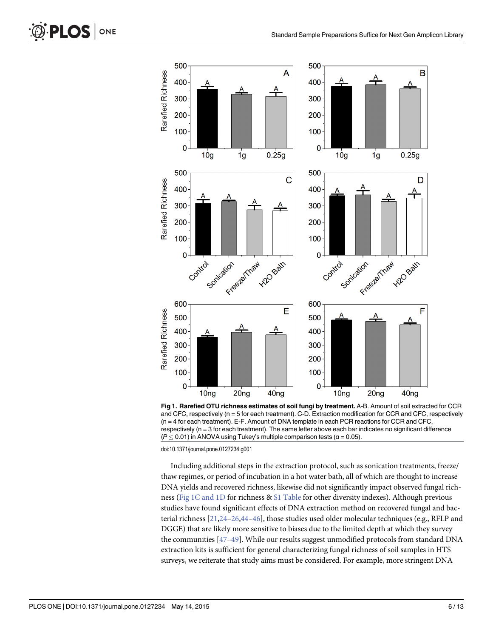

[Fig 1. R](#page-4-0)arefied OTU richness estimates of soil fungi by treatment. A-B. Amount of soil extracted for CCR and CFC, respectively (n = 5 for each treatment). C-D. Extraction modification for CCR and CFC, respectively (n = 4 for each treatment). E-F. Amount of DNA template in each PCR reactions for CCR and CFC, respectively (n = 3 for each treatment). The same letter above each bar indicates no significant difference ( $P \leq 0.01$ ) in ANOVA using Tukey's multiple comparison tests ( $\alpha = 0.05$ ).

doi:10.1371/journal.pone.0127234.g001

Including additional steps in the extraction protocol, such as sonication treatments, freeze/ thaw regimes, or period of incubation in a hot water bath, all of which are thought to increase DNA yields and recovered richness, likewise did not significantly impact observed fungal richness (Fig 1C and 1D for richness & [S1 Table](#page-10-0) for other diversity indexes). Although previous studies have found significant effects of DNA extraction method on recovered fungal and bacterial richness  $[21,24-26,44-46]$  $[21,24-26,44-46]$  $[21,24-26,44-46]$  $[21,24-26,44-46]$  $[21,24-26,44-46]$  $[21,24-26,44-46]$  $[21,24-26,44-46]$  $[21,24-26,44-46]$  $[21,24-26,44-46]$  $[21,24-26,44-46]$ , those studies used older molecular techniques (e.g., RFLP and DGGE) that are likely more sensitive to biases due to the limited depth at which they survey the communities [\[47](#page-12-0)–[49\]](#page-12-0). While our results suggest unmodified protocols from standard DNA extraction kits is sufficient for general characterizing fungal richness of soil samples in HTS surveys, we reiterate that study aims must be considered. For example, more stringent DNA

<span id="page-5-0"></span>PLOS ONE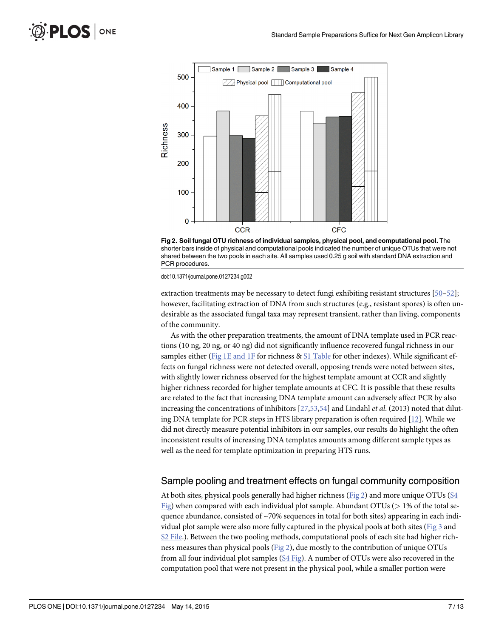<span id="page-6-0"></span>



doi:10.1371/journal.pone.0127234.g002

extraction treatments may be necessary to detect fungi exhibiting resistant structures [\[50](#page-12-0)–[52](#page-12-0)]; however, facilitating extraction of DNA from such structures (e.g., resistant spores) is often undesirable as the associated fungal taxa may represent transient, rather than living, components of the community.

As with the other preparation treatments, the amount of DNA template used in PCR reactions (10 ng, 20 ng, or 40 ng) did not significantly influence recovered fungal richness in our samples either [\(Fig 1E and 1F](#page-5-0) for richness  $& S1$  Table for other indexes). While significant effects on fungal richness were not detected overall, opposing trends were noted between sites, with slightly lower richness observed for the highest template amount at CCR and slightly higher richness recorded for higher template amounts at CFC. It is possible that these results are related to the fact that increasing DNA template amount can adversely affect PCR by also increasing the concentrations of inhibitors  $[27,53,54]$  $[27,53,54]$  $[27,53,54]$  and Lindahl *et al.* (2013) noted that diluting DNA template for PCR steps in HTS library preparation is often required [[12](#page-10-0)]. While we did not directly measure potential inhibitors in our samples, our results do highlight the often inconsistent results of increasing DNA templates amounts among different sample types as well as the need for template optimization in preparing HTS runs.

#### Sample pooling and treatment effects on fungal community composition

At both sites, physical pools generally had higher richness (Fig 2) and more unique OTUs [\(S4](#page-9-0) [Fig](#page-9-0)) when compared with each individual plot sample. Abundant OTUs ( $> 1\%$  of the total sequence abundance, consisted of  $\sim$ 70% sequences in total for both sites) appearing in each individual plot sample were also more fully captured in the physical pools at both sites ( $Fig 3$  and [S2 File](#page-10-0).). Between the two pooling methods, computational pools of each site had higher richness measures than physical pools (Fig 2), due mostly to the contribution of unique OTUs from all four individual plot samples  $(S4 \text{ Fig})$ . A number of OTUs were also recovered in the computation pool that were not present in the physical pool, while a smaller portion were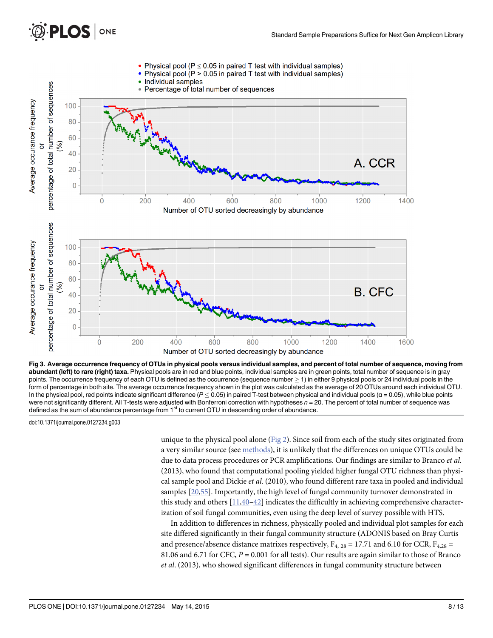<span id="page-7-0"></span>

[Fig 3. A](#page-6-0)verage occurrence frequency of OTUs in physical pools versus individual samples, and percent of total number of sequence, moving from abundant (left) to rare (right) taxa. Physical pools are in red and blue points, individual samples are in green points, total number of sequence is in gray points. The occurrence frequency of each OTU is defined as the occurrence (sequence number  $\geq$  1) in either 9 physical pools or 24 individual pools in the form of percentage in both site. The average occurrence frequency shown in the plot was calculated as the average of 20 OTUs around each individual OTU. In the physical pool, red points indicate significant difference ( $P \le 0.05$ ) in paired T-test between physical and individual pools ( $\alpha$  = 0.05), while blue points were not significantly different. All T-tests were adjusted with Bonferroni correction with hypotheses  $n = 20$ . The percent of total number of sequence was defined as the sum of abundance percentage from 1<sup>st</sup> to current OTU in descending order of abundance.

doi:10.1371/journal.pone.0127234.g003

unique to the physical pool alone ([Fig 2\)](#page-6-0). Since soil from each of the study sites originated from a very similar source (see [methods\)](#page-1-0), it is unlikely that the differences on unique OTUs could be due to data process procedures or PCR amplifications. Our findings are similar to Branco et al. (2013), who found that computational pooling yielded higher fungal OTU richness than physical sample pool and Dickie et al. (2010), who found different rare taxa in pooled and individual samples [\[20](#page-11-0)[,55\]](#page-12-0). Importantly, the high level of fungal community turnover demonstrated in this study and others  $[11,40-42]$  $[11,40-42]$  $[11,40-42]$  $[11,40-42]$  $[11,40-42]$  indicates the difficultly in achieving comprehensive characterization of soil fungal communities, even using the deep level of survey possible with HTS.

In addition to differences in richness, physically pooled and individual plot samples for each site differed significantly in their fungal community structure (ADONIS based on Bray Curtis and presence/absence distance matrixes respectively,  $F_{4, 28} = 17.71$  and 6.10 for CCR,  $F_{4, 28} =$ 81.06 and 6.71 for CFC,  $P = 0.001$  for all tests). Our results are again similar to those of Branco et al. (2013), who showed significant differences in fungal community structure between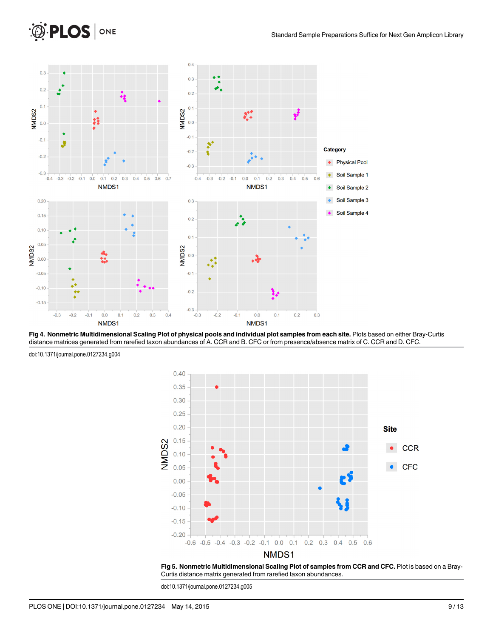

[Fig 4. N](#page-9-0)onmetric Multidimensional Scaling Plot of physical pools and individual plot samples from each site. Plots based on either Bray-Curtis distance matrices generated from rarefied taxon abundances of A. CCR and B. CFC or from presence/absence matrix of C. CCR and D. CFC.



doi:10.1371/journal.pone.0127234.g004

<span id="page-8-0"></span>PLOS | ONE

[Fig 5. N](#page-9-0)onmetric Multidimensional Scaling Plot of samples from CCR and CFC. Plot is based on a Bray-Curtis distance matrix generated from rarefied taxon abundances.

doi:10.1371/journal.pone.0127234.g005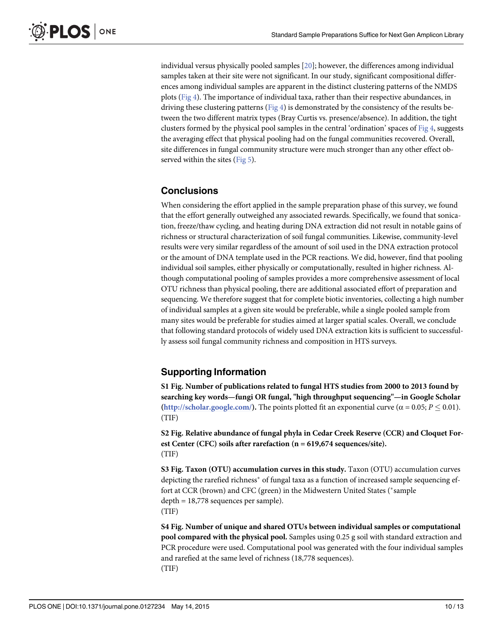<span id="page-9-0"></span>individual versus physically pooled samples [\[20\]](#page-11-0); however, the differences among individual samples taken at their site were not significant. In our study, significant compositional differences among individual samples are apparent in the distinct clustering patterns of the NMDS plots ( $Fig 4$ ). The importance of individual taxa, rather than their respective abundances, in driving these clustering patterns ([Fig 4](#page-8-0)) is demonstrated by the consistency of the results between the two different matrix types (Bray Curtis vs. presence/absence). In addition, the tight clusters formed by the physical pool samples in the central 'ordination' spaces of  $Fig 4$ , suggests the averaging effect that physical pooling had on the fungal communities recovered. Overall, site differences in fungal community structure were much stronger than any other effect observed within the sites  $(Fig 5)$  $(Fig 5)$ .

#### **Conclusions**

When considering the effort applied in the sample preparation phase of this survey, we found that the effort generally outweighed any associated rewards. Specifically, we found that sonication, freeze/thaw cycling, and heating during DNA extraction did not result in notable gains of richness or structural characterization of soil fungal communities. Likewise, community-level results were very similar regardless of the amount of soil used in the DNA extraction protocol or the amount of DNA template used in the PCR reactions. We did, however, find that pooling individual soil samples, either physically or computationally, resulted in higher richness. Although computational pooling of samples provides a more comprehensive assessment of local OTU richness than physical pooling, there are additional associated effort of preparation and sequencing. We therefore suggest that for complete biotic inventories, collecting a high number of individual samples at a given site would be preferable, while a single pooled sample from many sites would be preferable for studies aimed at larger spatial scales. Overall, we conclude that following standard protocols of widely used DNA extraction kits is sufficient to successfully assess soil fungal community richness and composition in HTS surveys.

## Supporting Information

[S1 Fig.](http://www.plosone.org/article/fetchSingleRepresentation.action?uri=info:doi/10.1371/journal.pone.0127234.s001) Number of publications related to fungal HTS studies from 2000 to 2013 found by searching key words—fungi OR fungal, "high throughput sequencing"—in Google Scholar [\(http://scholar.google.com/\)](http://scholar.google.com/). The points plotted fit an exponential curve ( $\alpha$  = 0.05;  $P \le 0.01$ ). (TIF)

[S2 Fig.](http://www.plosone.org/article/fetchSingleRepresentation.action?uri=info:doi/10.1371/journal.pone.0127234.s002) Relative abundance of fungal phyla in Cedar Creek Reserve (CCR) and Cloquet Forest Center (CFC) soils after rarefaction (n = 619,674 sequences/site). (TIF)

[S3 Fig.](http://www.plosone.org/article/fetchSingleRepresentation.action?uri=info:doi/10.1371/journal.pone.0127234.s003) Taxon (OTU) accumulation curves in this study. Taxon (OTU) accumulation curves depicting the rarefied richness<sup>\*</sup> of fungal taxa as a function of increased sample sequencing effort at CCR (brown) and CFC (green) in the Midwestern United States (\*sample depth = 18,778 sequences per sample). (TIF)

[S4 Fig.](http://www.plosone.org/article/fetchSingleRepresentation.action?uri=info:doi/10.1371/journal.pone.0127234.s004) Number of unique and shared OTUs between individual samples or computational pool compared with the physical pool. Samples using 0.25 g soil with standard extraction and PCR procedure were used. Computational pool was generated with the four individual samples and rarefied at the same level of richness (18,778 sequences). (TIF)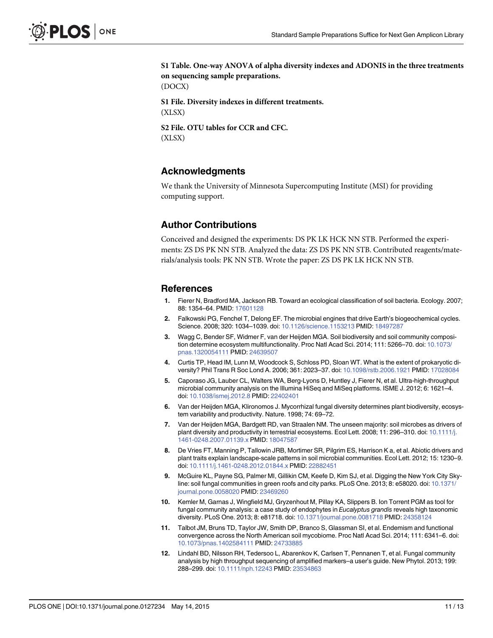<span id="page-10-0"></span>[S1 Table](http://www.plosone.org/article/fetchSingleRepresentation.action?uri=info:doi/10.1371/journal.pone.0127234.s005). One-way ANOVA of alpha diversity indexes and ADONIS in the three treatments on sequencing sample preparations.

(DOCX)

[S1 File.](http://www.plosone.org/article/fetchSingleRepresentation.action?uri=info:doi/10.1371/journal.pone.0127234.s006) Diversity indexes in different treatments. (XLSX)

[S2 File.](http://www.plosone.org/article/fetchSingleRepresentation.action?uri=info:doi/10.1371/journal.pone.0127234.s007) OTU tables for CCR and CFC. (XLSX)

#### Acknowledgments

We thank the University of Minnesota Supercomputing Institute (MSI) for providing computing support.

#### Author Contributions

Conceived and designed the experiments: DS PK LK HCK NN STB. Performed the experiments: ZS DS PK NN STB. Analyzed the data: ZS DS PK NN STB. Contributed reagents/materials/analysis tools: PK NN STB. Wrote the paper: ZS DS PK LK HCK NN STB.

#### References

- [1.](#page-0-0) Fierer N, Bradford MA, Jackson RB. Toward an ecological classification of soil bacteria. Ecology. 2007; 88: 1354–64. PMID: [17601128](http://www.ncbi.nlm.nih.gov/pubmed/17601128)
- [2.](#page-0-0) Falkowski PG, Fenchel T, Delong EF. The microbial engines that drive Earth's biogeochemical cycles. Science. 2008; 320: 1034–1039. doi: [10.1126/science.1153213](http://dx.doi.org/10.1126/science.1153213) PMID: [18497287](http://www.ncbi.nlm.nih.gov/pubmed/18497287)
- [3.](#page-0-0) Wagg C, Bender SF, Widmer F, van der Heijden MGA. Soil biodiversity and soil community composition determine ecosystem multifunctionality. Proc Natl Acad Sci. 2014; 111: 5266–70. doi: [10.1073/](http://dx.doi.org/10.1073/pnas.1320054111) [pnas.1320054111](http://dx.doi.org/10.1073/pnas.1320054111) PMID: [24639507](http://www.ncbi.nlm.nih.gov/pubmed/24639507)
- [4.](#page-0-0) Curtis TP, Head IM, Lunn M, Woodcock S, Schloss PD, Sloan WT. What is the extent of prokaryotic diversity? Phil Trans R Soc Lond A. 2006; 361: 2023–37. doi: [10.1098/rstb.2006.1921](http://dx.doi.org/10.1098/rstb.2006.1921) PMID: [17028084](http://www.ncbi.nlm.nih.gov/pubmed/17028084)
- [5.](#page-0-0) Caporaso JG, Lauber CL, Walters WA, Berg-Lyons D, Huntley J, Fierer N, et al. Ultra-high-throughput microbial community analysis on the Illumina HiSeq and MiSeq platforms. ISME J. 2012; 6: 1621–4. doi: [10.1038/ismej.2012.8](http://dx.doi.org/10.1038/ismej.2012.8) PMID: [22402401](http://www.ncbi.nlm.nih.gov/pubmed/22402401)
- [6.](#page-1-0) Van der Heijden MGA, Klironomos J. Mycorrhizal fungal diversity determines plant biodiversity, ecosystem variability and productivity. Nature. 1998; 74: 69–72.
- 7. Van der Heijden MGA, Bardgett RD, van Straalen NM. The unseen majority: soil microbes as drivers of plant diversity and productivity in terrestrial ecosystems. Ecol Lett. 2008; 11: 296-310. doi: [10.1111/j.](http://dx.doi.org/10.1111/j.1461-0248.2007.01139.x) [1461-0248.2007.01139.x](http://dx.doi.org/10.1111/j.1461-0248.2007.01139.x) PMID: [18047587](http://www.ncbi.nlm.nih.gov/pubmed/18047587)
- [8.](#page-1-0) De Vries FT, Manning P, Tallowin JRB, Mortimer SR, Pilgrim ES, Harrison K a, et al. Abiotic drivers and plant traits explain landscape-scale patterns in soil microbial communities. Ecol Lett. 2012; 15: 1230–9. doi: [10.1111/j.1461-0248.2012.01844.x](http://dx.doi.org/10.1111/j.1461-0248.2012.01844.x) PMID: [22882451](http://www.ncbi.nlm.nih.gov/pubmed/22882451)
- [9.](#page-1-0) McGuire KL, Payne SG, Palmer MI, Gillikin CM, Keefe D, Kim SJ, et al. Digging the New York City Sky-line: soil fungal communities in green roofs and city parks. PLoS One. 2013; 8: e58020. doi: [10.1371/](http://dx.doi.org/10.1371/journal.pone.0058020) [journal.pone.0058020](http://dx.doi.org/10.1371/journal.pone.0058020) PMID: [23469260](http://www.ncbi.nlm.nih.gov/pubmed/23469260)
- 10. Kemler M, Garnas J, Wingfield MJ, Gryzenhout M, Pillay KA, Slippers B. Ion Torrent PGM as tool for fungal community analysis: a case study of endophytes in Eucalyptus grandis reveals high taxonomic diversity. PLoS One. 2013; 8: e81718. doi: [10.1371/journal.pone.0081718](http://dx.doi.org/10.1371/journal.pone.0081718) PMID: [24358124](http://www.ncbi.nlm.nih.gov/pubmed/24358124)
- [11.](#page-1-0) Talbot JM, Bruns TD, Taylor JW, Smith DP, Branco S, Glassman SI, et al. Endemism and functional convergence across the North American soil mycobiome. Proc Natl Acad Sci. 2014; 111: 6341–6. doi: [10.1073/pnas.1402584111](http://dx.doi.org/10.1073/pnas.1402584111) PMID: [24733885](http://www.ncbi.nlm.nih.gov/pubmed/24733885)
- [12.](#page-1-0) Lindahl BD, Nilsson RH, Tedersoo L, Abarenkov K, Carlsen T, Pennanen T, et al. Fungal community analysis by high throughput sequencing of amplified markers–a user's guide. New Phytol. 2013; 199: 288–299. doi: [10.1111/nph.12243](http://dx.doi.org/10.1111/nph.12243) PMID: [23534863](http://www.ncbi.nlm.nih.gov/pubmed/23534863)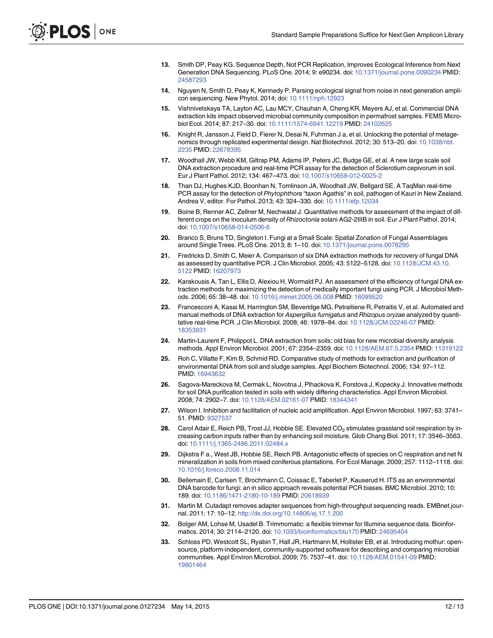- <span id="page-11-0"></span>[13.](#page-1-0) Smith DP, Peay KG. Sequence Depth, Not PCR Replication, Improves Ecological Inference from Next Generation DNA Sequencing. PLoS One. 2014; 9: e90234. doi: [10.1371/journal.pone.0090234](http://dx.doi.org/10.1371/journal.pone.0090234) PMID: [24587293](http://www.ncbi.nlm.nih.gov/pubmed/24587293)
- [14.](#page-2-0) Nguyen N, Smith D, Peay K, Kennedy P. Parsing ecological signal from noise in next generation amplicon sequencing. New Phytol. 2014; doi: [10.1111/nph.12923](http://dx.doi.org/10.1111/nph.12923)
- [15.](#page-1-0) Vishnivetskaya TA, Layton AC, Lau MCY, Chauhan A, Cheng KR, Meyers AJ, et al. Commercial DNA extraction kits impact observed microbial community composition in permafrost samples. FEMS Microbiol Ecol. 2014; 87: 217–30. doi: [10.1111/1574-6941.12219](http://dx.doi.org/10.1111/1574-6941.12219) PMID: [24102625](http://www.ncbi.nlm.nih.gov/pubmed/24102625)
- [16.](#page-1-0) Knight R, Jansson J, Field D, Fierer N, Desai N, Fuhrman J a, et al. Unlocking the potential of metagenomics through replicated experimental design. Nat Biotechnol. 2012; 30: 513–20. doi: [10.1038/nbt.](http://dx.doi.org/10.1038/nbt.2235) [2235](http://dx.doi.org/10.1038/nbt.2235) PMID: [22678395](http://www.ncbi.nlm.nih.gov/pubmed/22678395)
- [17.](#page-1-0) Woodhall JW, Webb KM, Giltrap PM, Adams IP, Peters JC, Budge GE, et al. A new large scale soil DNA extraction procedure and real-time PCR assay for the detection of Sclerotium cepivorum in soil. Eur J Plant Pathol. 2012; 134: 467–473. doi: [10.1007/s10658-012-0025-2](http://dx.doi.org/10.1007/s10658-012-0025-2)
- 18. Than DJ, Hughes KJD, Boonhan N, Tomlinson JA, Woodhall JW, Bellgard SE. A TaqMan real-time PCR assay for the detection of Phytophthora "taxon Agathis" in soil, pathogen of Kauri in New Zealand. Andrea V, editor. For Pathol. 2013; 43: 324–330. doi: [10.1111/efp.12034](http://dx.doi.org/10.1111/efp.12034)
- [19.](#page-1-0) Boine B, Renner AC, Zellner M, Nechwatal J. Quantitative methods for assessment of the impact of different crops on the inoculum density of Rhizoctonia solani AG2-2IIIB in soil. Eur J Plant Pathol. 2014; doi: [10.1007/s10658-014-0506-6](http://dx.doi.org/10.1007/s10658-014-0506-6)
- [20.](#page-1-0) Branco S, Bruns TD, Singleton I. Fungi at a Small Scale: Spatial Zonation of Fungal Assemblages around Single Trees. PLoS One. 2013; 8: 1–10. doi: [10.1371/journal.pone.0078295](http://dx.doi.org/10.1371/journal.pone.0078295)
- [21.](#page-1-0) Fredricks D, Smith C, Meier A. Comparison of six DNA extraction methods for recovery of fungal DNA as assessed by quantitative PCR. J Clin Microbiol. 2005; 43: 5122–5128. doi: [10.1128/JCM.43.10.](http://dx.doi.org/10.1128/JCM.43.10.5122) [5122](http://dx.doi.org/10.1128/JCM.43.10.5122) PMID: [16207973](http://www.ncbi.nlm.nih.gov/pubmed/16207973)
- 22. Karakousis A, Tan L, Ellis D, Alexiou H, Wormald PJ. An assessment of the efficiency of fungal DNA extraction methods for maximizing the detection of medically important fungi using PCR. J Microbiol Methods. 2006; 65: 38–48. doi: [10.1016/j.mimet.2005.06.008](http://dx.doi.org/10.1016/j.mimet.2005.06.008) PMID: [16099520](http://www.ncbi.nlm.nih.gov/pubmed/16099520)
- [23.](#page-1-0) Francesconi A, Kasai M, Harrington SM, Beveridge MG, Petraitiene R, Petraitis V, et al. Automated and manual methods of DNA extraction for Aspergillus fumigatus and Rhizopus oryzae analyzed by quantitative real-time PCR. J Clin Microbiol. 2008; 46: 1978–84. doi: [10.1128/JCM.02246-07](http://dx.doi.org/10.1128/JCM.02246-07) PMID: [18353931](http://www.ncbi.nlm.nih.gov/pubmed/18353931)
- [24.](#page-1-0) Martin-Laurent F, Philippot L. DNA extraction from soils: old bias for new microbial diversity analysis methods. Appl Environ Microbiol. 2001; 67: 2354–2359. doi: [10.1128/AEM.67.5.2354](http://dx.doi.org/10.1128/AEM.67.5.2354) PMID: [11319122](http://www.ncbi.nlm.nih.gov/pubmed/11319122)
- 25. Roh C, Villatte F, Kim B, Schmid RD. Comparative study of methods for extraction and purification of environmental DNA from soil and sludge samples. Appl Biochem Biotechnol. 2006; 134: 97–112. PMID: [16943632](http://www.ncbi.nlm.nih.gov/pubmed/16943632)
- [26.](#page-1-0) Sagova-Mareckova M, Cermak L, Novotna J, Plhackova K, Forstova J, Kopecky J. Innovative methods for soil DNA purification tested in soils with widely differing characteristics. Appl Environ Microbiol. 2008; 74: 2902–7. doi: [10.1128/AEM.02161-07](http://dx.doi.org/10.1128/AEM.02161-07) PMID: [18344341](http://www.ncbi.nlm.nih.gov/pubmed/18344341)
- [27.](#page-1-0) Wilson I. Inhibition and facilitation of nucleic acid amplification. Appl Environ Microbiol. 1997; 63: 3741– 51. PMID: [9327537](http://www.ncbi.nlm.nih.gov/pubmed/9327537)
- [28.](#page-1-0) Carol Adair E, Reich PB, Trost JJ, Hobbie SE. Elevated  $CO<sub>2</sub>$  stimulates grassland soil respiration by increasing carbon inputs rather than by enhancing soil moisture. Glob Chang Biol. 2011; 17: 3546–3563. doi: [10.1111/j.1365-2486.2011.02484.x](http://dx.doi.org/10.1111/j.1365-2486.2011.02484.x)
- [29.](#page-1-0) Dijkstra F a., West JB, Hobbie SE, Reich PB. Antagonistic effects of species on C respiration and net N mineralization in soils from mixed coniferous plantations. For Ecol Manage. 2009; 257: 1112–1118. doi: [10.1016/j.foreco.2008.11.014](http://dx.doi.org/10.1016/j.foreco.2008.11.014)
- [30.](#page-3-0) Bellemain E, Carlsen T, Brochmann C, Coissac E, Taberlet P, Kauserud H. ITS as an environmental DNA barcode for fungi: an in silico approach reveals potential PCR biases. BMC Microbiol. 2010; 10: 189. doi: [10.1186/1471-2180-10-189](http://dx.doi.org/10.1186/1471-2180-10-189) PMID: [20618939](http://www.ncbi.nlm.nih.gov/pubmed/20618939)
- [31.](#page-3-0) Martin M. Cutadapt removes adapter sequences from high-throughput sequencing reads. EMBnet.journal. 2011; 17: 10–12. <http://dx.doi.org/10.14806/ej.17.1.200>
- [32.](#page-3-0) Bolger AM, Lohse M, Usadel B. Trimmomatic: a flexible trimmer for Illumina sequence data. Bioinformatics. 2014; 30: 2114–2120. doi: [10.1093/bioinformatics/btu170](http://dx.doi.org/10.1093/bioinformatics/btu170) PMID: [24695404](http://www.ncbi.nlm.nih.gov/pubmed/24695404)
- [33.](#page-3-0) Schloss PD, Westcott SL, Ryabin T, Hall JR, Hartmann M, Hollister EB, et al. Introducing mothur: opensource, platform-independent, community-supported software for describing and comparing microbial communities. Appl Environ Microbiol. 2009; 75: 7537–41. doi: [10.1128/AEM.01541-09](http://dx.doi.org/10.1128/AEM.01541-09) PMID: [19801464](http://www.ncbi.nlm.nih.gov/pubmed/19801464)